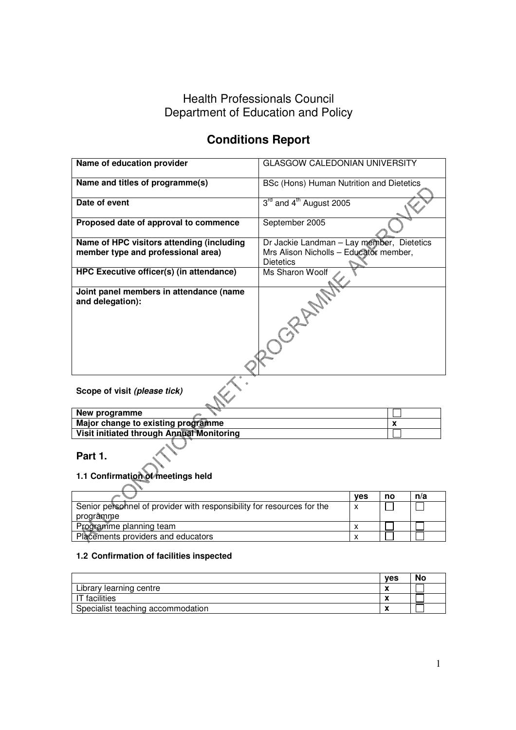## Health Professionals Council Department of Education and Policy

# **Conditions Report**

| Name of education provider                                                      | <b>GLASGOW CALEDONIAN UNIVERSITY</b>                                                                    |            |    |     |  |
|---------------------------------------------------------------------------------|---------------------------------------------------------------------------------------------------------|------------|----|-----|--|
| Name and titles of programme(s)                                                 | BSc (Hons) Human Nutrition and Dietetics                                                                |            |    |     |  |
| Date of event                                                                   | 3 <sup>rd</sup> and 4 <sup>th</sup> August 2005                                                         |            |    |     |  |
| Proposed date of approval to commence                                           | September 2005                                                                                          |            |    |     |  |
| Name of HPC visitors attending (including<br>member type and professional area) | Dr Jackie Landman - Lay member, Dietetics<br>Mrs Alison Nicholls - Educator member,<br><b>Dietetics</b> |            |    |     |  |
| HPC Executive officer(s) (in attendance)                                        | Ms Sharon Woolf                                                                                         |            |    |     |  |
| Joint panel members in attendance (name<br>and delegation):                     | JORNAL                                                                                                  |            |    |     |  |
| Scope of visit (please tick)                                                    |                                                                                                         |            |    |     |  |
| New programme                                                                   |                                                                                                         |            |    |     |  |
| Major change to existing programme                                              |                                                                                                         |            | x  |     |  |
| Visit initiated through Annual Monitoring                                       |                                                                                                         |            |    |     |  |
| Part 1.<br>1.1 Confirmation of meetings held                                    |                                                                                                         |            |    |     |  |
|                                                                                 |                                                                                                         | <b>ves</b> | no | n/a |  |

|                                                                        | ves | по | TV d |
|------------------------------------------------------------------------|-----|----|------|
| Senior personnel of provider with responsibility for resources for the |     |    |      |
| programme                                                              |     |    |      |
| Programme planning team                                                |     |    |      |
| Placements providers and educators                                     |     |    |      |

## **1.2 Confirmation of facilities inspected**

|                                   | <b>ves</b> | No |
|-----------------------------------|------------|----|
| Library learning centre           |            |    |
| T facilities                      |            |    |
| Specialist teaching accommodation |            |    |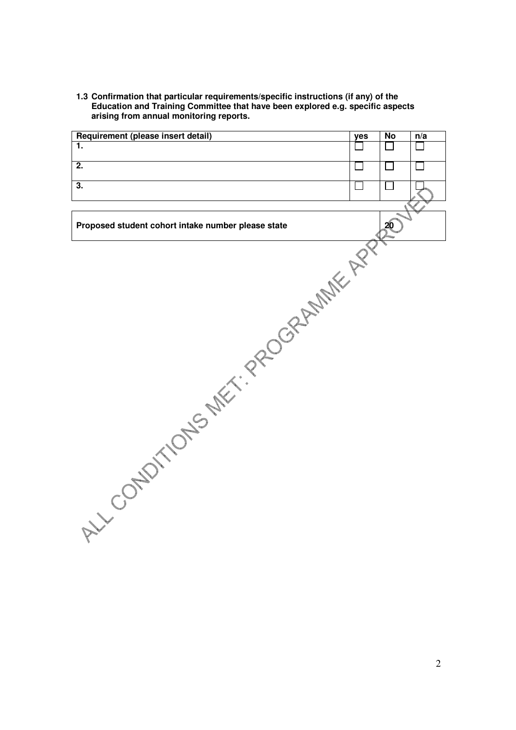**1.3 Confirmation that particular requirements/specific instructions (if any) of the Education and Training Committee that have been explored e.g. specific aspects arising from annual monitoring reports.** 

| Requirement (please insert detail)                                                      | yes | $\overline{N}$  | n/a |
|-----------------------------------------------------------------------------------------|-----|-----------------|-----|
| 1.                                                                                      |     |                 |     |
| $\overline{2}$ .                                                                        |     |                 |     |
|                                                                                         |     |                 |     |
| 3.                                                                                      |     |                 |     |
|                                                                                         |     |                 |     |
|                                                                                         |     |                 |     |
| Proposed student cohort intake number please state<br>LL COUNTILONS MET. PROGRAMME APPL |     | 20 <sup>1</sup> |     |
|                                                                                         |     |                 |     |
|                                                                                         |     |                 |     |
|                                                                                         |     |                 |     |
|                                                                                         |     |                 |     |
|                                                                                         |     |                 |     |
|                                                                                         |     |                 |     |
|                                                                                         |     |                 |     |
|                                                                                         |     |                 |     |
|                                                                                         |     |                 |     |
|                                                                                         |     |                 |     |
|                                                                                         |     |                 |     |
|                                                                                         |     |                 |     |
|                                                                                         |     |                 |     |
|                                                                                         |     |                 |     |
|                                                                                         |     |                 |     |
|                                                                                         |     |                 |     |
|                                                                                         |     |                 |     |
|                                                                                         |     |                 |     |
|                                                                                         |     |                 |     |
|                                                                                         |     |                 |     |
|                                                                                         |     |                 |     |
|                                                                                         |     |                 |     |
|                                                                                         |     |                 |     |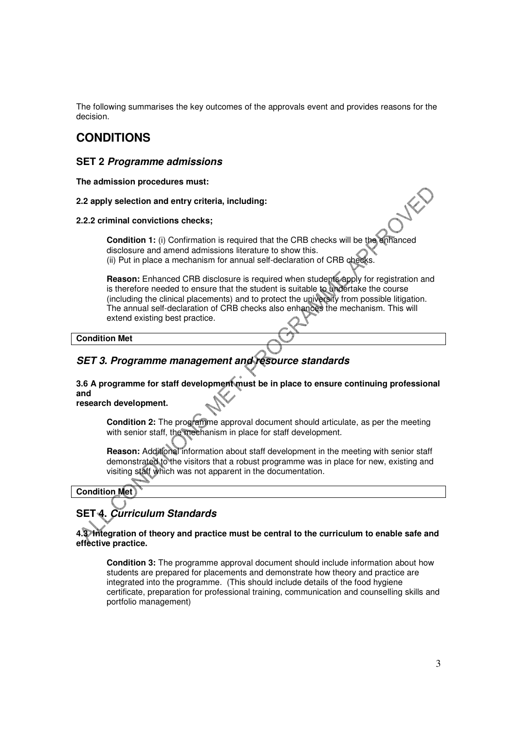The following summarises the key outcomes of the approvals event and provides reasons for the decision.

## **CONDITIONS**

## **SET 2 Programme admissions**

**The admission procedures must:** 

**2.2 apply selection and entry criteria, including:** 

#### **2.2.2 criminal convictions checks;**

**Condition 1:** (i) Confirmation is required that the CRB checks will be the enhanced disclosure and amend admissions literature to show this. (ii) Put in place a mechanism for annual self-declaration of CRB checks.

**Reason:** Enhanced CRB disclosure is required when students apply for registration and is therefore needed to ensure that the student is suitable to undertake the course (including the clinical placements) and to protect the university from possible litigation. The annual self-declaration of CRB checks also enhances the mechanism. This will extend existing best practice.

**Condition Met** 

## **SET 3. Programme management and resource standards**

**3.6 A programme for staff development must be in place to ensure continuing professional and** 

**research development.** 

**Condition 2:** The programme approval document should articulate, as per the meeting with senior staff, the mechanism in place for staff development.

**Reason:** Additional information about staff development in the meeting with senior staff demonstrated to the visitors that a robust programme was in place for new, existing and visiting staff which was not apparent in the documentation.

### **Condition Met**

## **SET 4. Curriculum Standards**

**4.3 Integration of theory and practice must be central to the curriculum to enable safe and effective practice.** 

**Condition 3:** The programme approval document should include information about how students are prepared for placements and demonstrate how theory and practice are integrated into the programme. (This should include details of the food hygiene certificate, preparation for professional training, communication and counselling skills and portfolio management)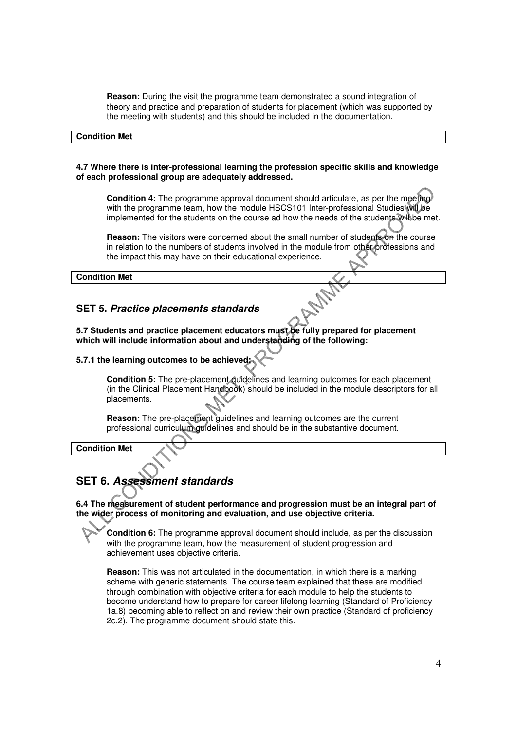**Reason:** During the visit the programme team demonstrated a sound integration of theory and practice and preparation of students for placement (which was supported by the meeting with students) and this should be included in the documentation.

#### **Condition Met**

#### **4.7 Where there is inter-professional learning the profession specific skills and knowledge of each professional group are adequately addressed.**

**Condition 4:** The programme approval document should articulate, as per the meeting with the programme team, how the module HSCS101 Inter-professional Studies will be implemented for the students on the course ad how the needs of the students will be met.

**Reason:** The visitors were concerned about the small number of students on the course in relation to the numbers of students involved in the module from other professions and the impact this may have on their educational experience.

#### **Condition Met**

### **SET 5. Practice placements standards**

**5.7 Students and practice placement educators must be fully prepared for placement which will include information about and understanding of the following:** 

#### **5.7.1 the learning outcomes to be achieved;**

**Condition 5:** The pre-placement guidelines and learning outcomes for each placement (in the Clinical Placement Handbook) should be included in the module descriptors for all placements.

**Reason:** The pre-placement guidelines and learning outcomes are the current professional curriculum guidelines and should be in the substantive document.

**Condition Met** 

### **SET 6. Assessment standards**

**6.4 The measurement of student performance and progression must be an integral part of the wider process of monitoring and evaluation, and use objective criteria.** 

**Condition 6:** The programme approval document should include, as per the discussion with the programme team, how the measurement of student progression and achievement uses objective criteria.

**Reason:** This was not articulated in the documentation, in which there is a marking scheme with generic statements. The course team explained that these are modified through combination with objective criteria for each module to help the students to become understand how to prepare for career lifelong learning (Standard of Proficiency 1a.8) becoming able to reflect on and review their own practice (Standard of proficiency 2c.2). The programme document should state this.